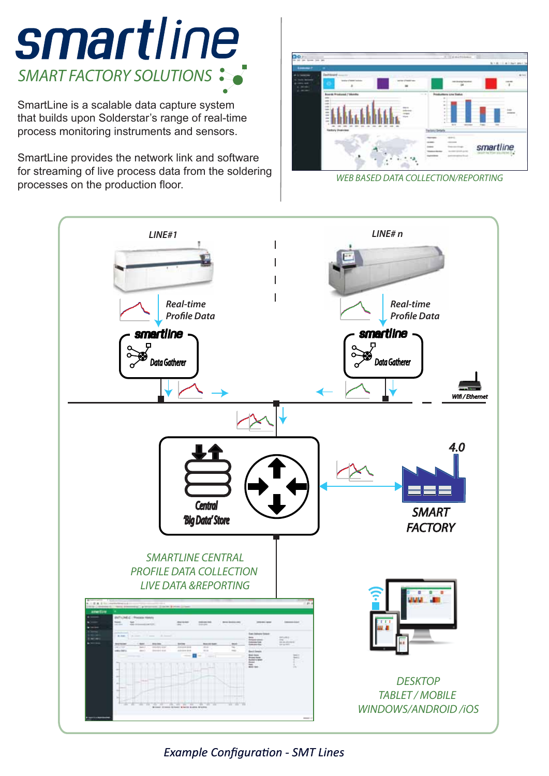

SmartLine is a scalable data capture system that builds upon Solderstar's range of real-time process monitoring instruments and sensors.

SmartLine provides the network link and software for streaming of live process data from the soldering processes on the production floor. *WEB BASED DATA COLLECTION/REPORTING*





*Example Configuration - SMT Lines*